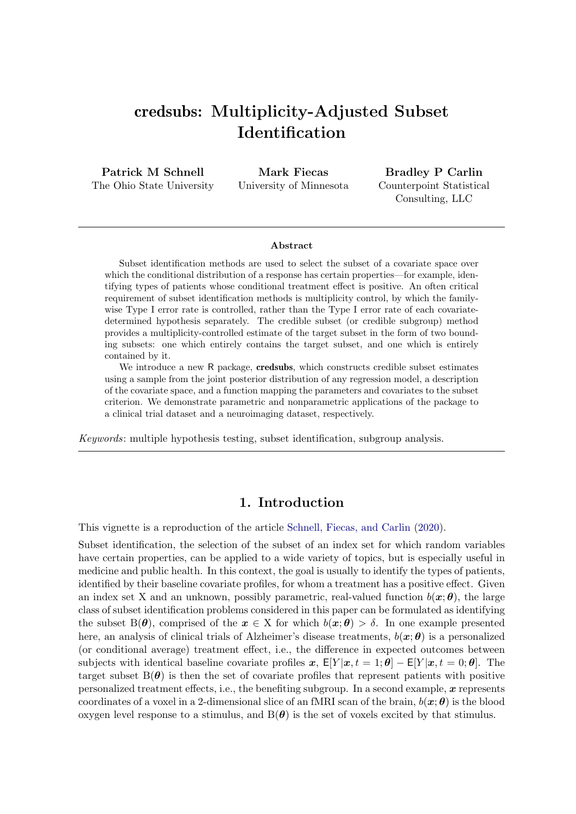## credsubs: Multiplicity-Adjusted Subset Identification

Patrick M Schnell The Ohio State University

Mark Fiecas University of Minnesota

Bradley P Carlin Counterpoint Statistical Consulting, LLC

#### Abstract

Subset identification methods are used to select the subset of a covariate space over which the conditional distribution of a response has certain properties—for example, identifying types of patients whose conditional treatment effect is positive. An often critical requirement of subset identification methods is multiplicity control, by which the familywise Type I error rate is controlled, rather than the Type I error rate of each covariatedetermined hypothesis separately. The credible subset (or credible subgroup) method provides a multiplicity-controlled estimate of the target subset in the form of two bounding subsets: one which entirely contains the target subset, and one which is entirely contained by it.

We introduce a new R package, **credsubs**, which constructs credible subset estimates using a sample from the joint posterior distribution of any regression model, a description of the covariate space, and a function mapping the parameters and covariates to the subset criterion. We demonstrate parametric and nonparametric applications of the package to a clinical trial dataset and a neuroimaging dataset, respectively.

Keywords: multiple hypothesis testing, subset identification, subgroup analysis.

## 1. Introduction

This vignette is a reproduction of the article [Schnell, Fiecas, and Carlin](#page-21-0) [\(2020\)](#page-21-0).

Subset identification, the selection of the subset of an index set for which random variables have certain properties, can be applied to a wide variety of topics, but is especially useful in medicine and public health. In this context, the goal is usually to identify the types of patients, identified by their baseline covariate profiles, for whom a treatment has a positive effect. Given an index set X and an unknown, possibly parametric, real-valued function  $b(x; \theta)$ , the large class of subset identification problems considered in this paper can be formulated as identifying the subset  $B(\theta)$ , comprised of the  $x \in X$  for which  $b(x; \theta) > \delta$ . In one example presented here, an analysis of clinical trials of Alzheimer's disease treatments,  $b(x; \theta)$  is a personalized (or conditional average) treatment effect, i.e., the difference in expected outcomes between subjects with identical baseline covariate profiles x,  $E[Y | x, t = 1; \theta] - E[Y | x, t = 0; \theta]$ . The target subset  $B(\theta)$  is then the set of covariate profiles that represent patients with positive personalized treatment effects, i.e., the benefiting subgroup. In a second example,  $\boldsymbol{x}$  represents coordinates of a voxel in a 2-dimensional slice of an fMRI scan of the brain,  $b(x; \theta)$  is the blood oxygen level response to a stimulus, and  $B(\theta)$  is the set of voxels excited by that stimulus.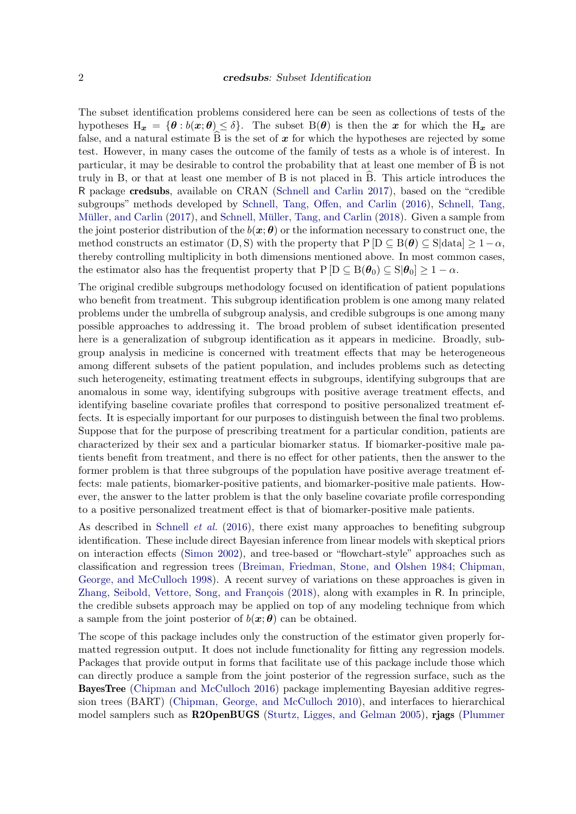The subset identification problems considered here can be seen as collections of tests of the hypotheses  $H_x = {\theta : b(x; \theta) \le \delta}$ . The subset  $B(\theta)$  is then the x for which the  $H_x$  are false, and a natural estimate  $\hat{B}$  is the set of x for which the hypotheses are rejected by some test. However, in many cases the outcome of the family of tests as a whole is of interest. In particular, it may be desirable to control the probability that at least one member of B is not b truly in B, or that at least one member of B is not placed in  $\hat{B}$ . This article introduces the R package credsubs, available on CRAN [\(Schnell and Carlin 2017\)](#page-21-1), based on the "credible subgroups" methods developed by [Schnell, Tang, Offen, and Carlin](#page-21-2) [\(2016\)](#page-21-2), [Schnell, Tang,](#page-21-3) Müller, and Carlin [\(2017\)](#page-21-3), and Schnell, Müller, Tang, and Carlin [\(2018\)](#page-21-4). Given a sample from the joint posterior distribution of the  $b(x; \theta)$  or the information necessary to construct one, the method constructs an estimator (D, S) with the property that  $P[D \subseteq B(\theta) \subseteq S|data] \geq 1-\alpha$ , thereby controlling multiplicity in both dimensions mentioned above. In most common cases, the estimator also has the frequentist property that  $P[D \subseteq B(\theta_0) \subseteq S|\theta_0] \geq 1 - \alpha$ .

The original credible subgroups methodology focused on identification of patient populations who benefit from treatment. This subgroup identification problem is one among many related problems under the umbrella of subgroup analysis, and credible subgroups is one among many possible approaches to addressing it. The broad problem of subset identification presented here is a generalization of subgroup identification as it appears in medicine. Broadly, subgroup analysis in medicine is concerned with treatment effects that may be heterogeneous among different subsets of the patient population, and includes problems such as detecting such heterogeneity, estimating treatment effects in subgroups, identifying subgroups that are anomalous in some way, identifying subgroups with positive average treatment effects, and identifying baseline covariate profiles that correspond to positive personalized treatment effects. It is especially important for our purposes to distinguish between the final two problems. Suppose that for the purpose of prescribing treatment for a particular condition, patients are characterized by their sex and a particular biomarker status. If biomarker-positive male patients benefit from treatment, and there is no effect for other patients, then the answer to the former problem is that three subgroups of the population have positive average treatment effects: male patients, biomarker-positive patients, and biomarker-positive male patients. However, the answer to the latter problem is that the only baseline covariate profile corresponding to a positive personalized treatment effect is that of biomarker-positive male patients.

As described in [Schnell](#page-21-2) *et al.* [\(2016\)](#page-21-2), there exist many approaches to benefiting subgroup identification. These include direct Bayesian inference from linear models with skeptical priors on interaction effects [\(Simon 2002\)](#page-21-5), and tree-based or "flowchart-style" approaches such as classification and regression trees [\(Breiman, Friedman, Stone, and Olshen 1984;](#page-20-0) [Chipman,](#page-20-1) [George, and McCulloch 1998\)](#page-20-1). A recent survey of variations on these approaches is given in Zhang, Seibold, Vettore, Song, and François [\(2018\)](#page-21-6), along with examples in R. In principle, the credible subsets approach may be applied on top of any modeling technique from which a sample from the joint posterior of  $b(x; \theta)$  can be obtained.

The scope of this package includes only the construction of the estimator given properly formatted regression output. It does not include functionality for fitting any regression models. Packages that provide output in forms that facilitate use of this package include those which can directly produce a sample from the joint posterior of the regression surface, such as the BayesTree [\(Chipman and McCulloch 2016\)](#page-20-2) package implementing Bayesian additive regression trees (BART) [\(Chipman, George, and McCulloch 2010\)](#page-20-3), and interfaces to hierarchical model samplers such as R2OpenBUGS [\(Sturtz, Ligges, and Gelman 2005\)](#page-21-7), rjags [\(Plummer](#page-21-8)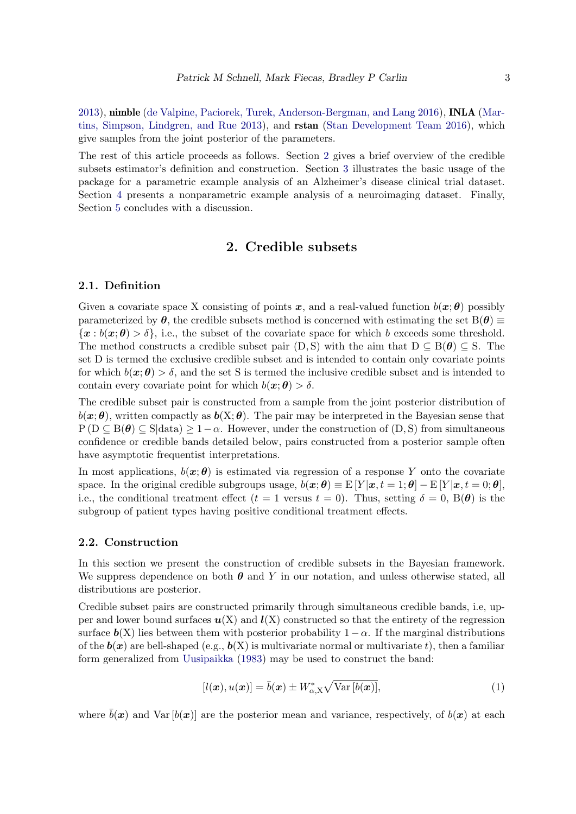[2013\)](#page-21-8), nimble [\(de Valpine, Paciorek, Turek, Anderson-Bergman, and Lang 2016\)](#page-20-4), INLA [\(Mar](#page-21-9)[tins, Simpson, Lindgren, and Rue 2013\)](#page-21-9), and rstan [\(Stan Development Team 2016\)](#page-21-10), which give samples from the joint posterior of the parameters.

The rest of this article proceeds as follows. Section [2](#page-2-0) gives a brief overview of the credible subsets estimator's definition and construction. Section [3](#page-4-0) illustrates the basic usage of the package for a parametric example analysis of an Alzheimer's disease clinical trial dataset. Section [4](#page-15-0) presents a nonparametric example analysis of a neuroimaging dataset. Finally, Section [5](#page-19-0) concludes with a discussion.

## 2. Credible subsets

#### <span id="page-2-0"></span>2.1. Definition

Given a covariate space X consisting of points x, and a real-valued function  $b(x; \theta)$  possibly parameterized by  $\theta$ , the credible subsets method is concerned with estimating the set  $B(\theta) \equiv$  $\{x : b(x; \theta) > \delta\}$ , i.e., the subset of the covariate space for which b exceeds some threshold. The method constructs a credible subset pair  $(D, S)$  with the aim that  $D \subseteq B(\theta) \subseteq S$ . The set D is termed the exclusive credible subset and is intended to contain only covariate points for which  $b(x; \theta) > \delta$ , and the set S is termed the inclusive credible subset and is intended to contain every covariate point for which  $b(\mathbf{x}; \boldsymbol{\theta}) > \delta$ .

The credible subset pair is constructed from a sample from the joint posterior distribution of  $b(\mathbf{x}; \theta)$ , written compactly as  $b(\mathbf{X}; \theta)$ . The pair may be interpreted in the Bayesian sense that  $P(D \subseteq B(\theta) \subseteq S|data) \geq 1-\alpha$ . However, under the construction of  $(D, S)$  from simultaneous confidence or credible bands detailed below, pairs constructed from a posterior sample often have asymptotic frequentist interpretations.

In most applications,  $b(x; \theta)$  is estimated via regression of a response Y onto the covariate space. In the original credible subgroups usage,  $b(\mathbf{x}; \theta) \equiv E[Y|\mathbf{x}, t = 1; \theta] - E[Y|\mathbf{x}, t = 0; \theta]$ , i.e., the conditional treatment effect  $(t = 1$  versus  $t = 0$ . Thus, setting  $\delta = 0$ ,  $B(\theta)$  is the subgroup of patient types having positive conditional treatment effects.

#### 2.2. Construction

In this section we present the construction of credible subsets in the Bayesian framework. We suppress dependence on both  $\theta$  and Y in our notation, and unless otherwise stated, all distributions are posterior.

Credible subset pairs are constructed primarily through simultaneous credible bands, i.e, upper and lower bound surfaces  $u(X)$  and  $l(X)$  constructed so that the entirety of the regression surface  $\mathbf{b}(X)$  lies between them with posterior probability  $1-\alpha$ . If the marginal distributions of the  $\mathbf{b}(\bm{x})$  are bell-shaped (e.g.,  $\mathbf{b}(X)$  is multivariate normal or multivariate t), then a familiar form generalized from [Uusipaikka](#page-21-11) [\(1983\)](#page-21-11) may be used to construct the band:

<span id="page-2-1"></span>
$$
[l(\boldsymbol{x}), u(\boldsymbol{x})] = \bar{b}(\boldsymbol{x}) \pm W_{\alpha, \mathbf{X}}^* \sqrt{\text{Var}[b(\boldsymbol{x})]},
$$
\n(1)

where  $\bar{b}(x)$  and Var  $[b(x)]$  are the posterior mean and variance, respectively, of  $b(x)$  at each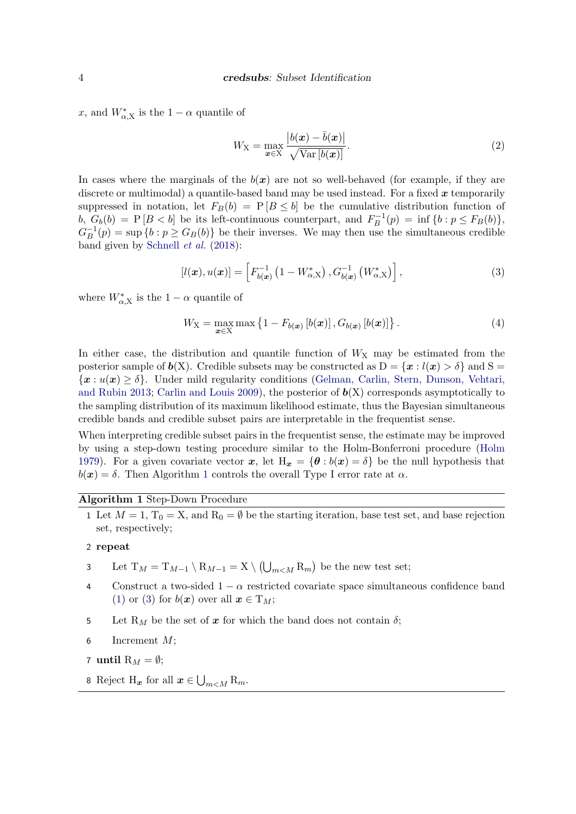x, and  $W_{\alpha,X}^*$  is the  $1-\alpha$  quantile of

$$
W_{\mathbf{X}} = \max_{\mathbf{x} \in \mathbf{X}} \frac{|b(\mathbf{x}) - \bar{b}(\mathbf{x})|}{\sqrt{\text{Var}[b(\mathbf{x})]}}.
$$
\n(2)

In cases where the marginals of the  $b(x)$  are not so well-behaved (for example, if they are discrete or multimodal) a quantile-based band may be used instead. For a fixed  $x$  temporarily suppressed in notation, let  $F_B(b) = P[B \leq b]$  be the cumulative distribution function of b,  $G_b(b) = P[B < b]$  be its left-continuous counterpart, and  $F_B^{-1}(p) = \inf \{b : p \le F_B(b)\},\$  $G_B^{-1}(p) = \sup \{b : p \geq G_B(b)\}\$ be their inverses. We may then use the simultaneous credible band given by [Schnell](#page-21-4) et al. [\(2018\)](#page-21-4):

<span id="page-3-1"></span>
$$
[l(\boldsymbol{x}), u(\boldsymbol{x})] = \left[F_{b(\boldsymbol{x})}^{-1} \left(1 - W_{\alpha, \mathrm{X}}^*\right), G_{b(\boldsymbol{x})}^{-1} \left(W_{\alpha, \mathrm{X}}^*\right)\right],\tag{3}
$$

where  $W_{\alpha,X}^*$  is the  $1-\alpha$  quantile of

$$
W_{\mathbf{X}} = \max_{\boldsymbol{x} \in \mathbf{X}} \max \left\{ 1 - F_{b(\boldsymbol{x})} \left[ b(\boldsymbol{x}) \right], G_{b(\boldsymbol{x})} \left[ b(\boldsymbol{x}) \right] \right\}. \tag{4}
$$

In either case, the distribution and quantile function of  $W_X$  may be estimated from the posterior sample of  $b(X)$ . Credible subsets may be constructed as  $D = \{x : l(x) > \delta\}$  and  $S =$  ${x : u(x) \geq \delta}$ . Under mild regularity conditions [\(Gelman, Carlin, Stern, Dunson, Vehtari,](#page-20-5) [and Rubin 2013;](#page-20-5) [Carlin and Louis 2009\)](#page-20-6), the posterior of  $b(X)$  corresponds asymptotically to the sampling distribution of its maximum likelihood estimate, thus the Bayesian simultaneous credible bands and credible subset pairs are interpretable in the frequentist sense.

When interpreting credible subset pairs in the frequentist sense, the estimate may be improved by using a step-down testing procedure similar to the Holm-Bonferroni procedure [\(Holm](#page-20-7) [1979\)](#page-20-7). For a given covariate vector x, let  $H_x = {\theta : b(x) = \delta}$  be the null hypothesis that  $b(x) = \delta$ . Then Algorithm [1](#page-3-0) controls the overall Type I error rate at  $\alpha$ .

#### Algorithm 1 Step-Down Procedure

<span id="page-3-0"></span>1 Let  $M = 1$ ,  $T_0 = X$ , and  $R_0 = \emptyset$  be the starting iteration, base test set, and base rejection set, respectively;

#### 2 repeat

- 3 Let  $T_M = T_{M-1} \setminus R_{M-1} = X \setminus (\bigcup_{m < M} R_m)$  be the new test set;
- 4 Construct a two-sided  $1 \alpha$  restricted covariate space simultaneous confidence band [\(1\)](#page-2-1) or [\(3\)](#page-3-1) for  $b(x)$  over all  $x \in T_M$ ;
- 5 Let R<sub>M</sub> be the set of x for which the band does not contain  $\delta$ ;
- 6 Increment  $M$ ;
- 7 until  $\mathrm{R}_M = \emptyset$ ;
- 8 Reject H<sub>x</sub> for all  $x \in \bigcup_{m \leq M} R_m$ .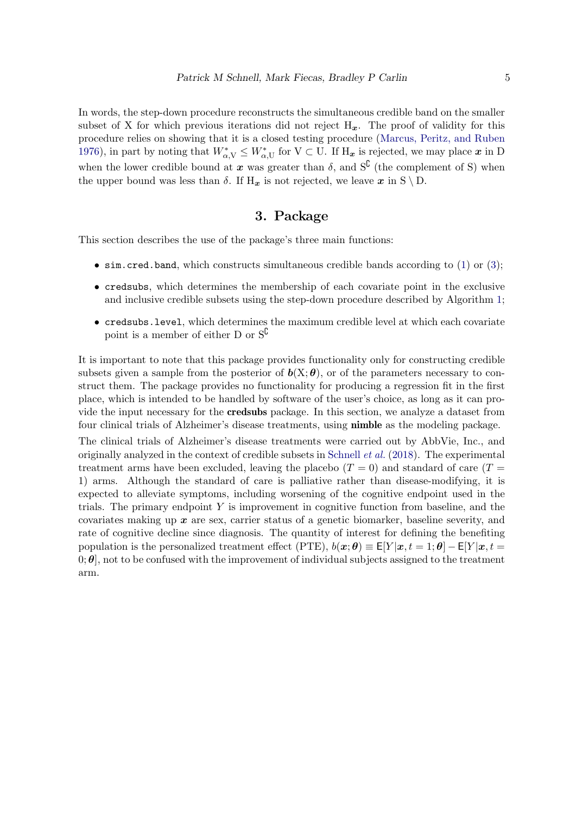In words, the step-down procedure reconstructs the simultaneous credible band on the smaller subset of X for which previous iterations did not reject  $H_x$ . The proof of validity for this procedure relies on showing that it is a closed testing procedure [\(Marcus, Peritz, and Ruben](#page-21-12) [1976\)](#page-21-12), in part by noting that  $W^*_{\alpha,V} \leq W^*_{\alpha,U}$  for  $V \subset U$ . If  $H_{\boldsymbol{x}}$  is rejected, we may place  $\boldsymbol{x}$  in D when the lower credible bound at x was greater than  $\delta$ , and  $S^{\complement}$  (the complement of S) when the upper bound was less than  $\delta$ . If  $H_x$  is not rejected, we leave x in S \ D.

## 3. Package

<span id="page-4-0"></span>This section describes the use of the package's three main functions:

- $\sin$  cred.band, which constructs simultaneous credible bands according to [\(1\)](#page-2-1) or [\(3\)](#page-3-1);
- credsubs, which determines the membership of each covariate point in the exclusive and inclusive credible subsets using the step-down procedure described by Algorithm [1;](#page-3-0)
- credsubs.level, which determines the maximum credible level at which each covariate point is a member of either D or  $S^{\complement}$

It is important to note that this package provides functionality only for constructing credible subsets given a sample from the posterior of  $b(X; \theta)$ , or of the parameters necessary to construct them. The package provides no functionality for producing a regression fit in the first place, which is intended to be handled by software of the user's choice, as long as it can provide the input necessary for the credsubs package. In this section, we analyze a dataset from four clinical trials of Alzheimer's disease treatments, using nimble as the modeling package.

The clinical trials of Alzheimer's disease treatments were carried out by AbbVie, Inc., and originally analyzed in the context of credible subsets in [Schnell](#page-21-4) et al. [\(2018\)](#page-21-4). The experimental treatment arms have been excluded, leaving the placebo  $(T = 0)$  and standard of care  $(T = 1)$ 1) arms. Although the standard of care is palliative rather than disease-modifying, it is expected to alleviate symptoms, including worsening of the cognitive endpoint used in the trials. The primary endpoint  $Y$  is improvement in cognitive function from baseline, and the covariates making up  $x$  are sex, carrier status of a genetic biomarker, baseline severity, and rate of cognitive decline since diagnosis. The quantity of interest for defining the benefiting population is the personalized treatment effect (PTE),  $b(x; \theta) \equiv E[Y | x, t = 1; \theta] - E[Y | x, t =$ 0;  $\theta$ , not to be confused with the improvement of individual subjects assigned to the treatment arm.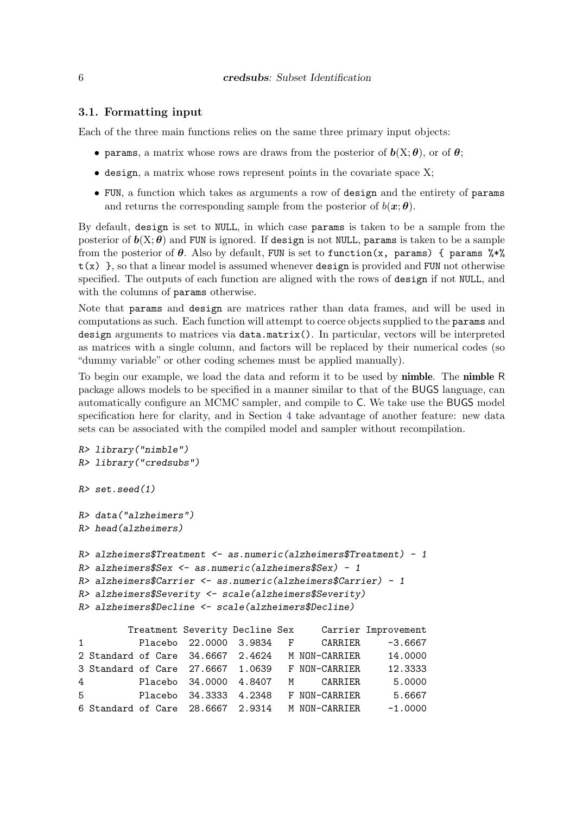#### 3.1. Formatting input

Each of the three main functions relies on the same three primary input objects:

- params, a matrix whose rows are draws from the posterior of  $\boldsymbol{b}(X;\boldsymbol{\theta})$ , or of  $\boldsymbol{\theta}$ ;
- $\bullet$  design, a matrix whose rows represent points in the covariate space X;
- FUN, a function which takes as arguments a row of design and the entirety of params and returns the corresponding sample from the posterior of  $b(\mathbf{x}; \theta)$ .

By default, design is set to NULL, in which case params is taken to be a sample from the posterior of  $b(X; \theta)$  and FUN is ignored. If design is not NULL, params is taken to be a sample from the posterior of  $\theta$ . Also by default, FUN is set to function(x, params) { params  $\frac{2\pi}{3}$  $t(x)$ , so that a linear model is assumed whenever design is provided and FUN not otherwise specified. The outputs of each function are aligned with the rows of design if not NULL, and with the columns of params otherwise.

Note that params and design are matrices rather than data frames, and will be used in computations as such. Each function will attempt to coerce objects supplied to the params and design arguments to matrices via data.matrix(). In particular, vectors will be interpreted as matrices with a single column, and factors will be replaced by their numerical codes (so "dummy variable" or other coding schemes must be applied manually).

To begin our example, we load the data and reform it to be used by **nimble**. The **nimble** R package allows models to be specified in a manner similar to that of the BUGS language, can automatically configure an MCMC sampler, and compile to C. We take use the BUGS model specification here for clarity, and in Section [4](#page-15-0) take advantage of another feature: new data sets can be associated with the compiled model and sampler without recompilation.

```
R> library("nimble")
R> library("credsubs")
R> set.seed(1)
R> data("alzheimers")
R> head(alzheimers)
R> alzheimers$Treatment <- as.numeric(alzheimers$Treatment) - 1
R> alzheimers$Sex <- as.numeric(alzheimers$Sex) - 1
R> alzheimers$Carrier <- as.numeric(alzheimers$Carrier) - 1
R> alzheimers$Severity <- scale(alzheimers$Severity)
R> alzheimers$Decline <- scale(alzheimers$Decline)
        Treatment Severity Decline Sex Carrier Improvement
1 Placebo 22.0000 3.9834 F CARRIER -3.6667
2 Standard of Care 34.6667 2.4624 M NON-CARRIER 14.0000
3 Standard of Care 27.6667 1.0639 F NON-CARRIER 12.3333
4 Placebo 34.0000 4.8407 M CARRIER 5.0000
5 Placebo 34.3333 4.2348 F NON-CARRIER 5.6667
6 Standard of Care 28.6667 2.9314 M NON-CARRIER -1.0000
```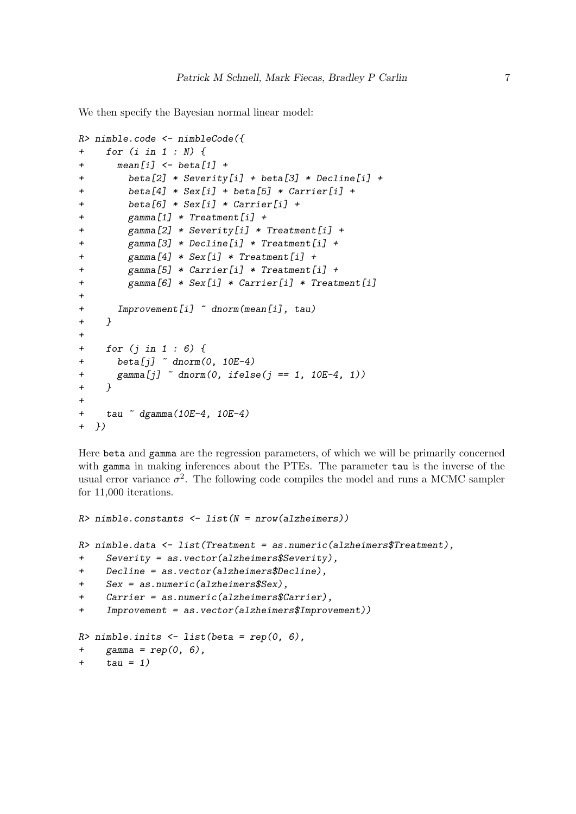We then specify the Bayesian normal linear model:

```
R> nimble.code <- nimbleCode({
+ for (i in 1 : N) {
+ mean[i] <- beta[1] +
+ beta[2] * Severity[i] + beta[3] * Decline[i] +
+ beta[4] * Sex[i] + beta[5] * Carrier[i] +
        + beta[6] * Sex[i] * Carrier[i] +
        + gamma[1] * Treatment[i] +
+ gamma[2] * Severity[i] * Treatment[i] +
+ gamma[3] * Decline[i] * Treatment[i] +
+ gamma[4] * Sex[i] * Treatment[i] +
+ gamma[5] * Carrier[i] * Treatment[i] +
+ gamma[6] * Sex[i] * Carrier[i] * Treatment[i]
+
+ Improvement[i] ~ dnorm(mean[i], tau)
+ }
+
+ for (j in 1 : 6) {
+ beta[j] ~ dnorm(0, 10E-4)
+ gamma[j] ~ dnorm(0, ifelse(j == 1, 10E-4, 1))
+ }
+
+ tau ~ dgamma(10E-4, 10E-4)
+ })
```
Here beta and gamma are the regression parameters, of which we will be primarily concerned with gamma in making inferences about the PTEs. The parameter tau is the inverse of the usual error variance  $\sigma^2$ . The following code compiles the model and runs a MCMC sampler for 11,000 iterations.

```
R> nimble.constants <- list(N = nrow(alzheimers))
R> nimble.data <- list(Treatment = as.numeric(alzheimers$Treatment),
+ Severity = as.vector(alzheimers$Severity),
+ Decline = as.vector(alzheimers$Decline),
     + Sex = as.numeric(alzheimers$Sex),
+ Carrier = as.numeric(alzheimers$Carrier),
+ Improvement = as.vector(alzheimers$Improvement))
R> nimble.inits <- list(beta = rep(0, 6),
+ gamma = rep(0, 6),
+ tau = 1)
```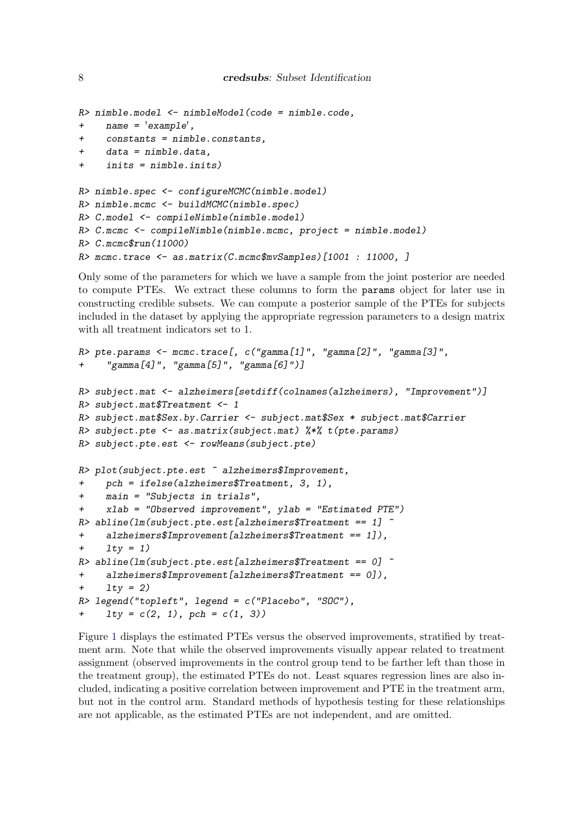```
R> nimble.model <- nimbleModel(code = nimble.code,
+ name = 'example',
     + constants = nimble.constants,
     + data = nimble.data,
+ inits = nimble.inits)
R> nimble.spec <- configureMCMC(nimble.model)
R> nimble.mcmc <- buildMCMC(nimble.spec)
R> C.model <- compileNimble(nimble.model)
R> C.mcmc <- compileNimble(nimble.mcmc, project = nimble.model)
R> C.mcmc$run(11000)
R> mcmc.trace <- as.matrix(C.mcmc$mvSamples)[1001 : 11000, ]
```
Only some of the parameters for which we have a sample from the joint posterior are needed to compute PTEs. We extract these columns to form the params object for later use in constructing credible subsets. We can compute a posterior sample of the PTEs for subjects included in the dataset by applying the appropriate regression parameters to a design matrix with all treatment indicators set to 1.

```
R> pte.params <- mcmc.trace[, c("gamma[1]", "gamma[2]", "gamma[3]",
+ "gamma[4]", "gamma[5]", "gamma[6]")]
R> subject.mat <- alzheimers[setdiff(colnames(alzheimers), "Improvement")]
R> subject.mat$Treatment <- 1
R> subject.mat$Sex.by.Carrier <- subject.mat$Sex * subject.mat$Carrier
R> subject.pte <- as.matrix(subject.mat) %*% t(pte.params)
R> subject.pte.est <- rowMeans(subject.pte)
R> plot(subject.pte.est ~ alzheimers$Improvement,
+ pch = ifelse(alzheimers$Treatment, 3, 1),
+ main = "Subjects in trials",
     + xlab = "Observed improvement", ylab = "Estimated PTE")
R> abline(lm(subject.pte.est[alzheimers$Treatment == 1] ~
+ alzheimers$Improvement[alzheimers$Treatment == 1]),
+ lty = 1)
R> abline(lm(subject.pte.est[alzheimers$Treatment == 0] ~
     + alzheimers$Improvement[alzheimers$Treatment == 0]),
+ lty = 2)
R> legend("topleft", legend = c("Placebo", "SOC"),
+ lty = c(2, 1), pch = c(1, 3))
```
Figure [1](#page-8-0) displays the estimated PTEs versus the observed improvements, stratified by treatment arm. Note that while the observed improvements visually appear related to treatment assignment (observed improvements in the control group tend to be farther left than those in the treatment group), the estimated PTEs do not. Least squares regression lines are also included, indicating a positive correlation between improvement and PTE in the treatment arm, but not in the control arm. Standard methods of hypothesis testing for these relationships are not applicable, as the estimated PTEs are not independent, and are omitted.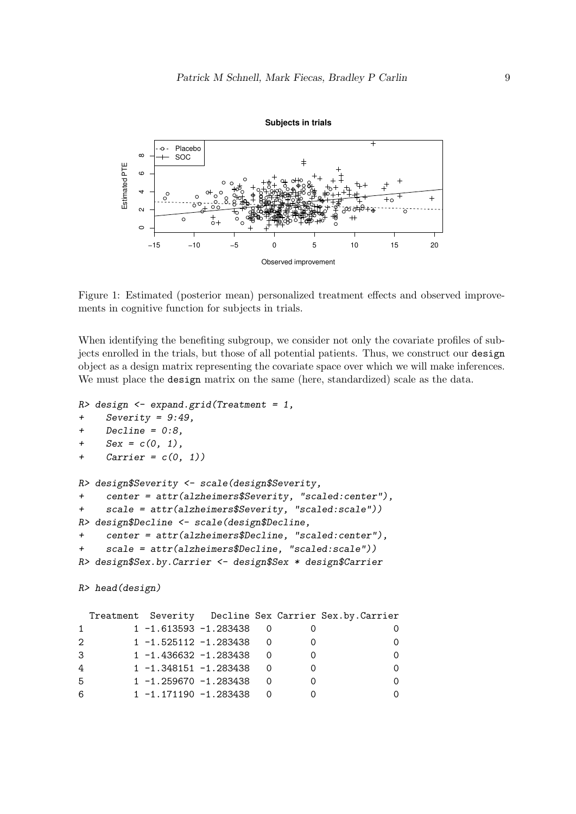

<span id="page-8-0"></span>Figure 1: Estimated (posterior mean) personalized treatment effects and observed improvements in cognitive function for subjects in trials.

When identifying the benefiting subgroup, we consider not only the covariate profiles of subjects enrolled in the trials, but those of all potential patients. Thus, we construct our design object as a design matrix representing the covariate space over which we will make inferences. We must place the design matrix on the same (here, standardized) scale as the data.

```
R> design <- expand.grid(Treatment = 1,
    + Severity = 9:49,
+ Decline = 0:8,
+ Sex = c(0, 1),
+ Carrier = c(0, 1))
R> design$Severity <- scale(design$Severity,
+ center = attr(alzheimers$Severity, "scaled:center"),
+ scale = attr(alzheimers$Severity, "scaled:scale"))
R> design$Decline <- scale(design$Decline,
+ center = attr(alzheimers$Decline, "scaled:center"),
+ scale = attr(alzheimers$Decline, "scaled:scale"))
R> design$Sex.by.Carrier <- design$Sex * design$Carrier
```

```
R> head(design)
```

|              |  |                           |  | Treatment Severity Decline Sex Carrier Sex.by.Carrier |
|--------------|--|---------------------------|--|-------------------------------------------------------|
| $\mathbf{1}$ |  | $1 - 1.613593 - 1.283438$ |  |                                                       |
| 2            |  | 1 -1.525112 -1.283438     |  | $\Omega$                                              |
| 3            |  | $1 - 1.436632 - 1.283438$ |  | $\Omega$                                              |
| 4            |  | $1 - 1.348151 - 1.283438$ |  | $\Omega$                                              |
| 5            |  | $1 - 1.259670 - 1.283438$ |  | $\Omega$                                              |
| 6            |  | $1 - 1.171190 - 1.283438$ |  | $\Omega$                                              |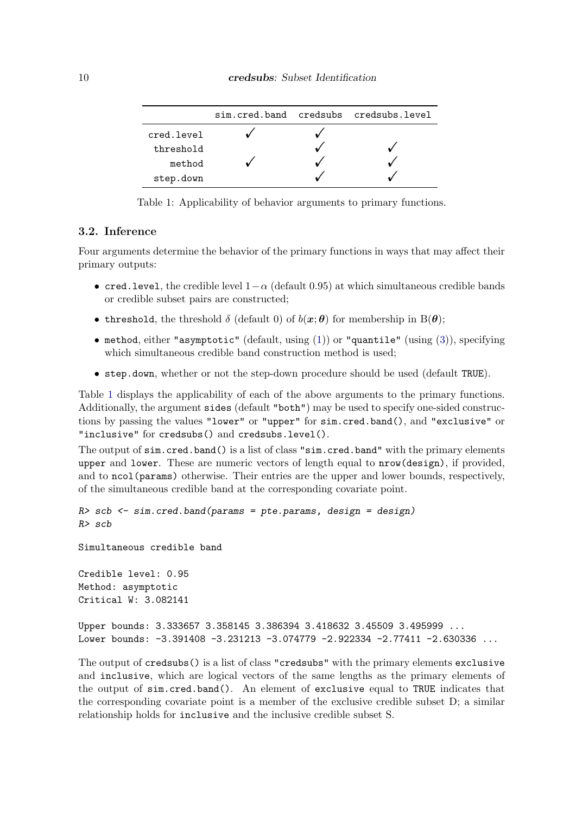<span id="page-9-0"></span>

|            |  | sim.cred.band credsubs credsubs.level |
|------------|--|---------------------------------------|
| cred.level |  |                                       |
| threshold  |  |                                       |
| method     |  |                                       |
| step.down  |  |                                       |

Table 1: Applicability of behavior arguments to primary functions.

#### 3.2. Inference

Four arguments determine the behavior of the primary functions in ways that may affect their primary outputs:

- cred.level, the credible level  $1-\alpha$  (default 0.95) at which simultaneous credible bands or credible subset pairs are constructed;
- threshold, the threshold  $\delta$  (default 0) of  $b(x;\theta)$  for membership in  $B(\theta)$ ;
- method, either "asymptotic" (default, using  $(1)$ ) or "quantile" (using  $(3)$ ), specifying which simultaneous credible band construction method is used;
- step.down, whether or not the step-down procedure should be used (default TRUE).

Table [1](#page-9-0) displays the applicability of each of the above arguments to the primary functions. Additionally, the argument sides (default "both") may be used to specify one-sided constructions by passing the values "lower" or "upper" for sim.cred.band(), and "exclusive" or "inclusive" for credsubs() and credsubs.level().

The output of sim.cred.band() is a list of class "sim.cred.band" with the primary elements upper and lower. These are numeric vectors of length equal to nrow(design), if provided, and to ncol(params) otherwise. Their entries are the upper and lower bounds, respectively, of the simultaneous credible band at the corresponding covariate point.

```
R> scb <- sim.cred.band(params = pte.params, design = design)
R> scb
Simultaneous credible band
Credible level: 0.95
Method: asymptotic
Critical W: 3.082141
Upper bounds: 3.333657 3.358145 3.386394 3.418632 3.45509 3.495999 ...
Lower bounds: -3.391408 -3.231213 -3.074779 -2.922334 -2.77411 -2.630336 ...
The output of credsubs() is a list of class "credsubs" with the primary elements exclusive
```
and inclusive, which are logical vectors of the same lengths as the primary elements of the output of sim.cred.band(). An element of exclusive equal to TRUE indicates that the corresponding covariate point is a member of the exclusive credible subset D; a similar relationship holds for inclusive and the inclusive credible subset S.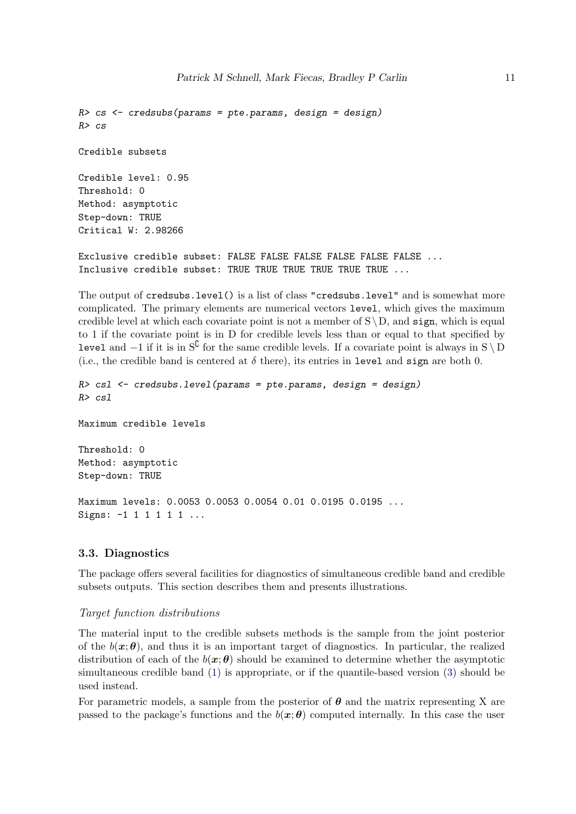```
R> cs <- credsubs(params = pte.params, design = design)
R> cs
Credible subsets
Credible level: 0.95
Threshold: 0
Method: asymptotic
Step-down: TRUE
Critical W: 2.98266
Exclusive credible subset: FALSE FALSE FALSE FALSE FALSE FALSE ...
```
Inclusive credible subset: TRUE TRUE TRUE TRUE TRUE TRUE ...

The output of credsubs.level() is a list of class "credsubs.level" and is somewhat more complicated. The primary elements are numerical vectors level, which gives the maximum credible level at which each covariate point is not a member of  $S \setminus D$ , and sign, which is equal to 1 if the covariate point is in D for credible levels less than or equal to that specified by level and  $-1$  if it is in S<sup>C</sup> for the same credible levels. If a covariate point is always in S \ D (i.e., the credible band is centered at  $\delta$  there), its entries in level and sign are both 0.

```
R> csl <- credsubs.level(params = pte.params, design = design)
R> csl
Maximum credible levels
Threshold: 0
Method: asymptotic
Step-down: TRUE
Maximum levels: 0.0053 0.0053 0.0054 0.01 0.0195 0.0195 ...
Signs: -1 1 1 1 1 1 ...
```
#### 3.3. Diagnostics

The package offers several facilities for diagnostics of simultaneous credible band and credible subsets outputs. This section describes them and presents illustrations.

#### Target function distributions

The material input to the credible subsets methods is the sample from the joint posterior of the  $b(x; \theta)$ , and thus it is an important target of diagnostics. In particular, the realized distribution of each of the  $b(x; \theta)$  should be examined to determine whether the asymptotic simultaneous credible band [\(1\)](#page-2-1) is appropriate, or if the quantile-based version [\(3\)](#page-3-1) should be used instead.

For parametric models, a sample from the posterior of  $\theta$  and the matrix representing X are passed to the package's functions and the  $b(x; \theta)$  computed internally. In this case the user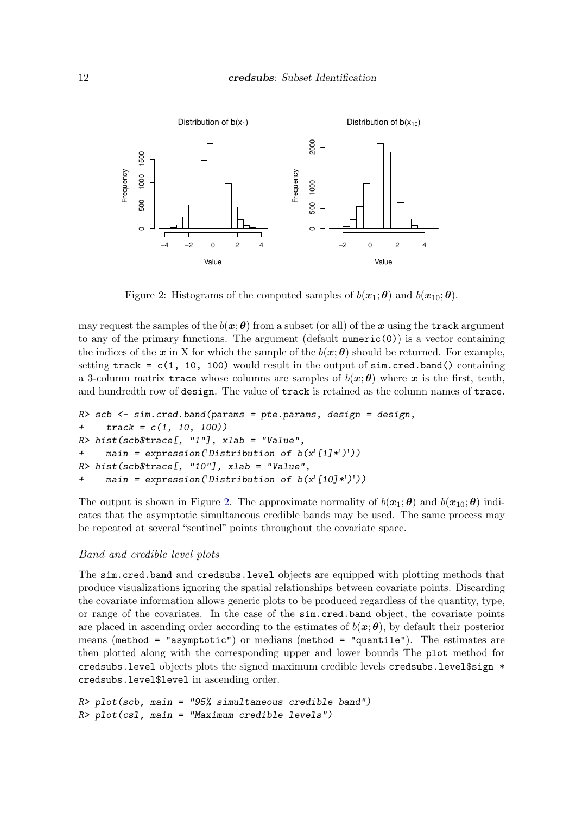

<span id="page-11-0"></span>Figure 2: Histograms of the computed samples of  $b(\mathbf{x}_1;\boldsymbol{\theta})$  and  $b(\mathbf{x}_{10};\boldsymbol{\theta})$ .

may request the samples of the  $b(x;\theta)$  from a subset (or all) of the x using the track argument to any of the primary functions. The argument  $(\text{default numeric}(0))$  is a vector containing the indices of the x in X for which the sample of the  $b(x; \theta)$  should be returned. For example, setting track =  $c(1, 10, 100)$  would result in the output of  $sim.cred-band()$  containing a 3-column matrix trace whose columns are samples of  $b(x; \theta)$  where x is the first, tenth, and hundredth row of design. The value of track is retained as the column names of trace.

```
R> scb <- sim.cred.band(params = pte.params, design = design,
+ track = c(1, 10, 100))
R> hist(scb$trace[, "1"], xlab = "Value",
+ main = expression('Distribution of b(x'[1]*')'))
R> hist(scb$trace[, "10"], xlab = "Value",
+ main = expression('Distribution of b(x'[10]*')'))
```
The output is shown in Figure [2.](#page-11-0) The approximate normality of  $b(x_1; \theta)$  and  $b(x_{10}; \theta)$  indicates that the asymptotic simultaneous credible bands may be used. The same process may be repeated at several "sentinel" points throughout the covariate space.

#### Band and credible level plots

The sim.cred.band and credsubs.level objects are equipped with plotting methods that produce visualizations ignoring the spatial relationships between covariate points. Discarding the covariate information allows generic plots to be produced regardless of the quantity, type, or range of the covariates. In the case of the sim.cred.band object, the covariate points are placed in ascending order according to the estimates of  $b(x; \theta)$ , by default their posterior means (method = "asymptotic") or medians (method = "quantile"). The estimates are then plotted along with the corresponding upper and lower bounds The plot method for credsubs.level objects plots the signed maximum credible levels credsubs.level\$sign \* credsubs.level\$level in ascending order.

```
R> plot(scb, main = "95% simultaneous credible band")
R> plot(csl, main = "Maximum credible levels")
```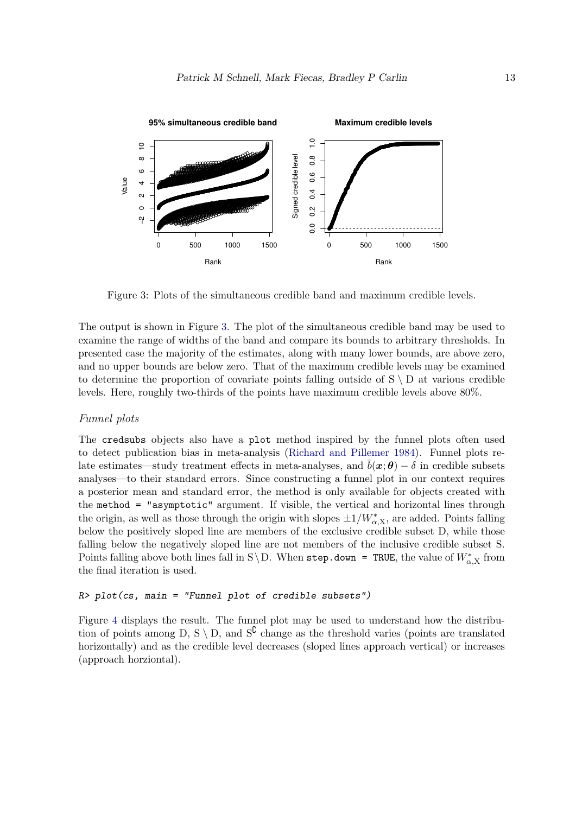

<span id="page-12-0"></span>Figure 3: Plots of the simultaneous credible band and maximum credible levels.

The output is shown in Figure [3.](#page-12-0) The plot of the simultaneous credible band may be used to examine the range of widths of the band and compare its bounds to arbitrary thresholds. In presented case the majority of the estimates, along with many lower bounds, are above zero, and no upper bounds are below zero. That of the maximum credible levels may be examined to determine the proportion of covariate points falling outside of  $S \setminus D$  at various credible levels. Here, roughly two-thirds of the points have maximum credible levels above 80%.

#### Funnel plots

The credsubs objects also have a plot method inspired by the funnel plots often used to detect publication bias in meta-analysis [\(Richard and Pillemer 1984\)](#page-21-13). Funnel plots relate estimates—study treatment effects in meta-analyses, and  $\bar{b}(x;\theta) - \delta$  in credible subsets analyses—to their standard errors. Since constructing a funnel plot in our context requires a posterior mean and standard error, the method is only available for objects created with the method = "asymptotic" argument. If visible, the vertical and horizontal lines through the origin, as well as those through the origin with slopes  $\pm 1/W_{\alpha,X}^*$ , are added. Points falling below the positively sloped line are members of the exclusive credible subset D, while those falling below the negatively sloped line are not members of the inclusive credible subset S. Points falling above both lines fall in S\D. When step.down = TRUE, the value of  $W^*_{\alpha,X}$  from the final iteration is used.

#### *R> plot(cs, main = "Funnel plot of credible subsets")*

Figure [4](#page-13-0) displays the result. The funnel plot may be used to understand how the distribution of points among D, S \ D, and  $S^{\complement}$  change as the threshold varies (points are translated horizontally) and as the credible level decreases (sloped lines approach vertical) or increases (approach horziontal).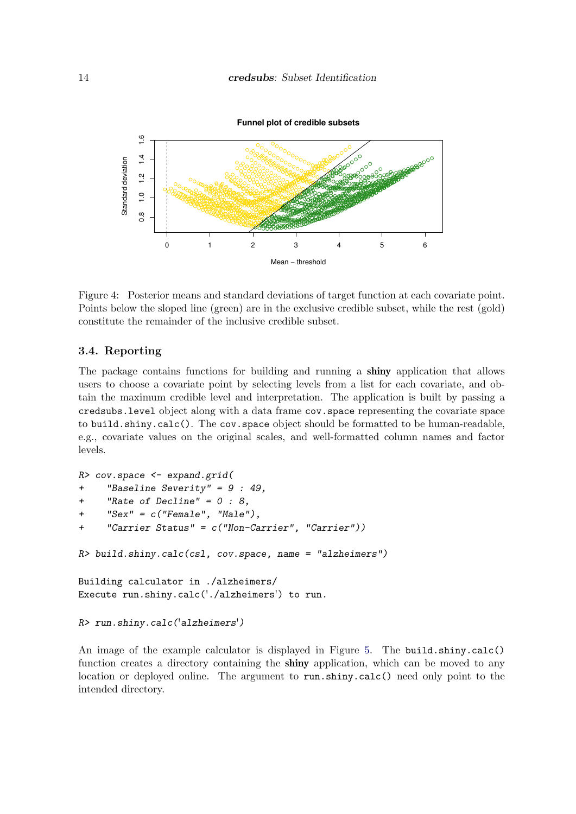

<span id="page-13-0"></span>Figure 4: Posterior means and standard deviations of target function at each covariate point. Points below the sloped line (green) are in the exclusive credible subset, while the rest (gold) constitute the remainder of the inclusive credible subset.

#### 3.4. Reporting

The package contains functions for building and running a **shiny** application that allows users to choose a covariate point by selecting levels from a list for each covariate, and obtain the maximum credible level and interpretation. The application is built by passing a credsubs.level object along with a data frame cov.space representing the covariate space to build.shiny.calc(). The cov.space object should be formatted to be human-readable, e.g., covariate values on the original scales, and well-formatted column names and factor levels.

```
R> cov.space <- expand.grid(
+ "Baseline Severity" = 9 : 49,
+ "Rate of Decline" = 0 : 8,
+ "Sex" = c("Female", "Male"),
+ "Carrier Status" = c("Non-Carrier", "Carrier"))
R> build.shiny.calc(csl, cov.space, name = "alzheimers")
Building calculator in ./alzheimers/
Execute run.shiny.calc('./alzheimers') to run.
R> run.shiny.calc('alzheimers')
```

```
An image of the example calculator is displayed in Figure 5. The build.shiny.calc()
function creates a directory containing the shiny application, which can be moved to any
location or deployed online. The argument to run.shiny.calc() need only point to the
intended directory.
```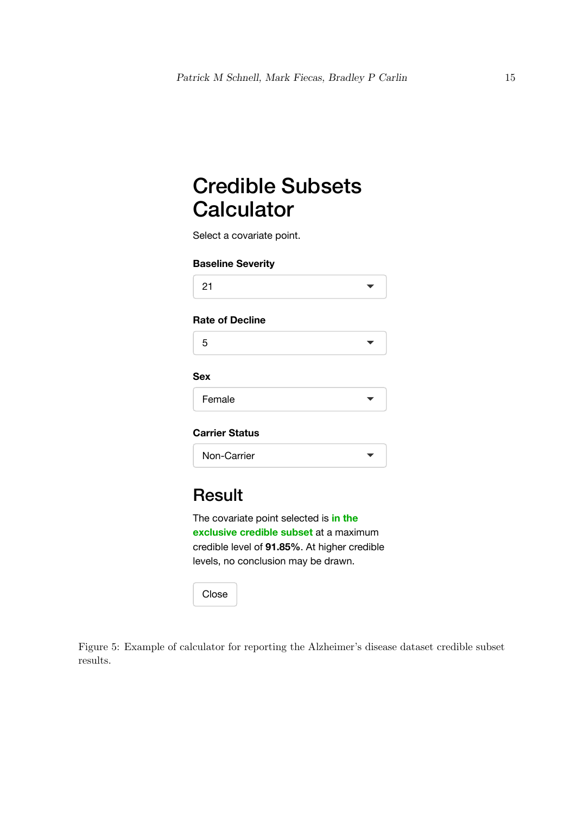# Credible Subsets **Calculator**

Select a covariate point.

#### **Baseline Severity**

|--|--|

### **Rate of Decline**

### **Sex**

| Female |
|--------|
|--------|

## **Carrier Status**

| Non-Carrier |  |
|-------------|--|
|-------------|--|

## **Result**

The covariate point selected is **in the exclusive credible subset** at a maximum credible level of **91.85%**. At higher credible levels, no conclusion may be drawn.

<span id="page-14-0"></span>Close

Figure 5: Example of calculator for reporting the Alzheimer's disease dataset credible subset results.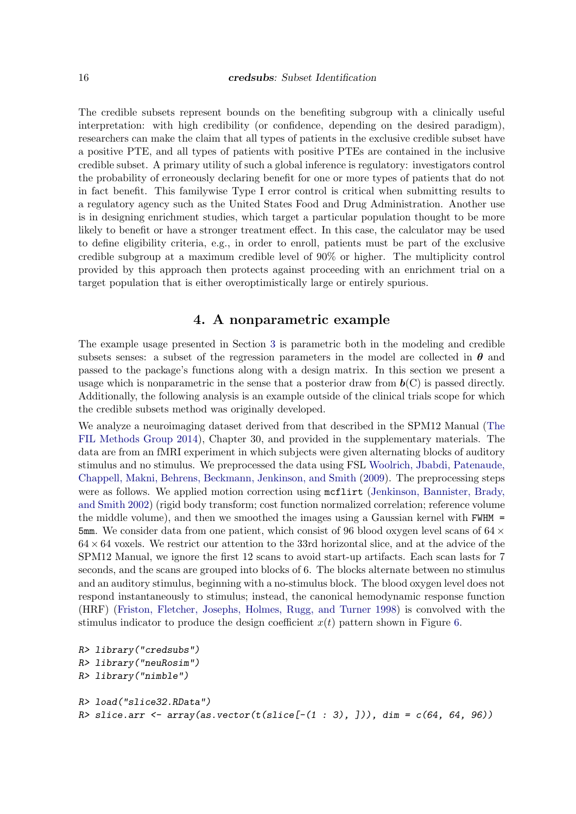The credible subsets represent bounds on the benefiting subgroup with a clinically useful interpretation: with high credibility (or confidence, depending on the desired paradigm), researchers can make the claim that all types of patients in the exclusive credible subset have a positive PTE, and all types of patients with positive PTEs are contained in the inclusive credible subset. A primary utility of such a global inference is regulatory: investigators control the probability of erroneously declaring benefit for one or more types of patients that do not in fact benefit. This familywise Type I error control is critical when submitting results to a regulatory agency such as the United States Food and Drug Administration. Another use is in designing enrichment studies, which target a particular population thought to be more likely to benefit or have a stronger treatment effect. In this case, the calculator may be used to define eligibility criteria, e.g., in order to enroll, patients must be part of the exclusive credible subgroup at a maximum credible level of 90% or higher. The multiplicity control provided by this approach then protects against proceeding with an enrichment trial on a target population that is either overoptimistically large or entirely spurious.

## 4. A nonparametric example

<span id="page-15-0"></span>The example usage presented in Section [3](#page-4-0) is parametric both in the modeling and credible subsets senses: a subset of the regression parameters in the model are collected in  $\theta$  and passed to the package's functions along with a design matrix. In this section we present a usage which is nonparametric in the sense that a posterior draw from  $\mathbf{b}(C)$  is passed directly. Additionally, the following analysis is an example outside of the clinical trials scope for which the credible subsets method was originally developed.

We analyze a neuroimaging dataset derived from that described in the SPM12 Manual [\(The](#page-21-14) [FIL Methods Group 2014\)](#page-21-14), Chapter 30, and provided in the supplementary materials. The data are from an fMRI experiment in which subjects were given alternating blocks of auditory stimulus and no stimulus. We preprocessed the data using FSL [Woolrich, Jbabdi, Patenaude,](#page-21-15) [Chappell, Makni, Behrens, Beckmann, Jenkinson, and Smith](#page-21-15) [\(2009\)](#page-21-15). The preprocessing steps were as follows. We applied motion correction using methirt [\(Jenkinson, Bannister, Brady,](#page-20-8) [and Smith 2002\)](#page-20-8) (rigid body transform; cost function normalized correlation; reference volume the middle volume), and then we smoothed the images using a Gaussian kernel with FWHM = 5mm. We consider data from one patient, which consist of 96 blood oxygen level scans of  $64 \times$  $64 \times 64$  voxels. We restrict our attention to the 33rd horizontal slice, and at the advice of the SPM12 Manual, we ignore the first 12 scans to avoid start-up artifacts. Each scan lasts for 7 seconds, and the scans are grouped into blocks of 6. The blocks alternate between no stimulus and an auditory stimulus, beginning with a no-stimulus block. The blood oxygen level does not respond instantaneously to stimulus; instead, the canonical hemodynamic response function (HRF) [\(Friston, Fletcher, Josephs, Holmes, Rugg, and Turner 1998\)](#page-20-9) is convolved with the stimulus indicator to produce the design coefficient  $x(t)$  pattern shown in Figure [6.](#page-16-0)

```
R> library("credsubs")
R> library("neuRosim")
R> library("nimble")
R> load("slice32.RData")
R> slice.arr <- array(as.vector(t(slice[-(1 : 3), ])), dim = c(64, 64, 96))
```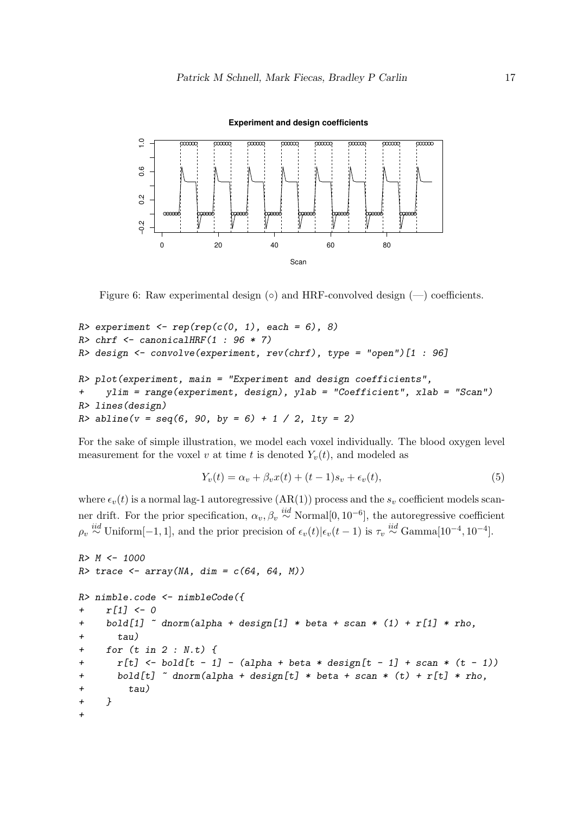

<span id="page-16-0"></span>**Experiment and design coefficients**

Figure 6: Raw experimental design  $(\circ)$  and HRF-convolved design  $(-)$  coefficients.

```
R> experiment <- rep(rep(c(0, 1), each = 6), 8)
R> chrf <- canonicalHRF(1 : 96 * 7)
R> design <- convolve(experiment, rev(chrf), type = "open")[1 : 96]
R> plot(experiment, main = "Experiment and design coefficients",
+ ylim = range(experiment, design), ylab = "Coefficient", xlab = "Scan")
R> lines(design)
R> abline(v = seq(6, 90, by = 6) + 1 / 2, lty = 2)
```
For the sake of simple illustration, we model each voxel individually. The blood oxygen level measurement for the voxel v at time t is denoted  $Y_v(t)$ , and modeled as

$$
Y_v(t) = \alpha_v + \beta_v x(t) + (t - 1)s_v + \epsilon_v(t),
$$
\n<sup>(5)</sup>

where  $\epsilon_v(t)$  is a normal lag-1 autoregressive (AR(1)) process and the  $s_v$  coefficient models scanner drift. For the prior specification,  $\alpha_v, \beta_v \stackrel{iid}{\sim}$  Normal $[0, 10^{-6}]$ , the autoregressive coefficient  $\rho_v \stackrel{iid}{\sim} \text{Uniform}[-1,1],$  and the prior precision of  $\epsilon_v(t)|\epsilon_v(t-1)$  is  $\tau_v \stackrel{iid}{\sim} \text{Gamma}[10^{-4}, 10^{-4}]$ .

```
R> M <- 1000
R> trace <- array(NA, dim = c(64, 64, M))
R> nimble.code <- nimbleCode({
    + r[1] <- 0
+ bold[1] ~ dnorm(alpha + design[1] * beta + scan * (1) + r[1] * rho,
+ tau)
+ for (t in 2 : N.t) {
+ r[t] <- bold[t - 1] - (alpha + beta * design[t - 1] + scan * (t - 1))
+ bold[t] ~ dnorm(alpha + design[t] * beta + scan * (t) + r[t] * rho,
+ tau)
+ }
+
```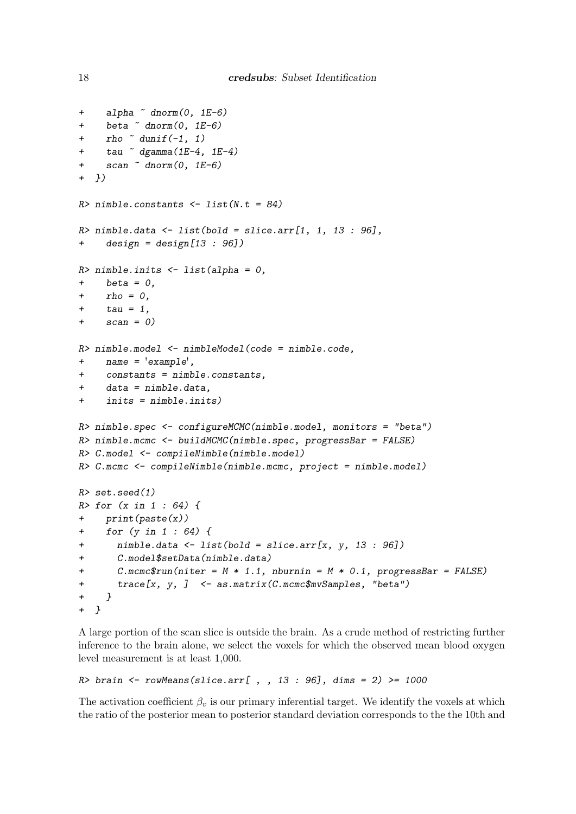```
+ alpha ~ dnorm(0, 1E-6)
+ beta ~ dnorm(0, 1E-6)
    + rho ~ dunif(-1, 1)
    + tau ~ dgamma(1E-4, 1E-4)
    + scan ~ dnorm(0, 1E-6)
+ })
R> nimble.constants <- list(N.t = 84)
R> nimble.data <- list(bold = slice.arr[1, 1, 13 : 96],
+ design = design[13 : 96])
R> nimble.inits <- list(alpha = 0,
+ beta = 0,
+ rho = 0,
    + tau = 1,
+ scan = 0)
R> nimble.model <- nimbleModel(code = nimble.code,
+ name = 'example',
    + constants = nimble.constants,
+ data = nimble.data,
+ inits = nimble.inits)
R> nimble.spec <- configureMCMC(nimble.model, monitors = "beta")
R> nimble.mcmc <- buildMCMC(nimble.spec, progressBar = FALSE)
R> C.model <- compileNimble(nimble.model)
R> C.mcmc <- compileNimble(nimble.mcmc, project = nimble.model)
R> set.seed(1)
R> for (x in 1 : 64) {
+ print(paste(x))
+ for (y in 1 : 64) {
+ nimble.data <- list(bold = slice.arr[x, y, 13 : 96])
+ C.model$setData(nimble.data)
+ C.mcmc$run(niter = M * 1.1, nburnin = M * 0.1, progressBar = FALSE)
+ trace[x, y, ] <- as.matrix(C.mcmc$mvSamples, "beta")
+ }
+ }
```
A large portion of the scan slice is outside the brain. As a crude method of restricting further inference to the brain alone, we select the voxels for which the observed mean blood oxygen level measurement is at least 1,000.

```
R> brain <- rowMeans(slice.arr[ , , 13 : 96], dims = 2) >= 1000
```
The activation coefficient  $\beta_n$  is our primary inferential target. We identify the voxels at which the ratio of the posterior mean to posterior standard deviation corresponds to the the 10th and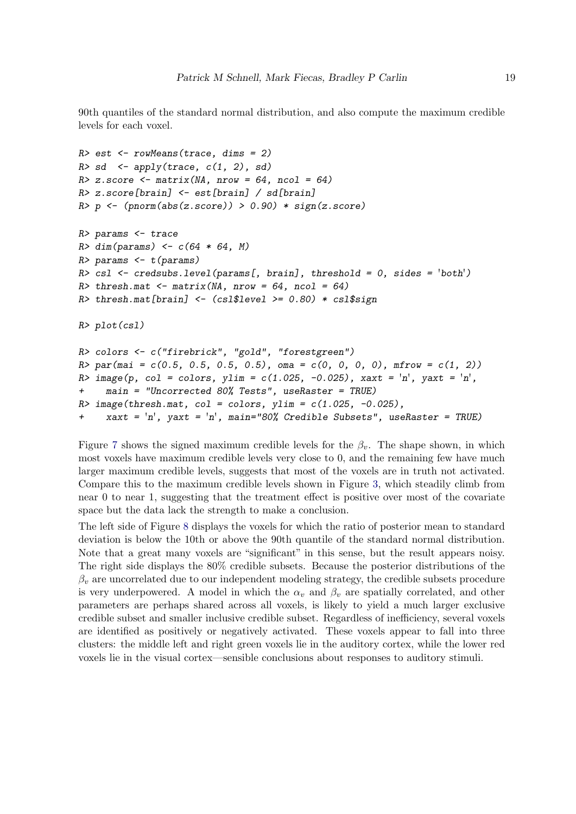90th quantiles of the standard normal distribution, and also compute the maximum credible levels for each voxel.

```
R> est <- rowMeans(trace, dims = 2)
R> sd <- apply(trace, c(1, 2), sd)
R> z.score <- matrix(NA, nrow = 64, ncol = 64)
R> z.score[brain] <- est[brain] / sd[brain]
R> p <- (pnorm(abs(z.score)) > 0.90) * sign(z.score)
R> params <- trace
R> dim(params) <- c(64 * 64, M)
R> params <- t(params)
R> csl <- credsubs.level(params[, brain], threshold = 0, sides = 'both')
R> thresh.mat <- matrix(NA, nrow = 64, ncol = 64)
R> thresh.mat[brain] <- (csl$level >= 0.80) * csl$sign
R> plot(csl)
R> colors <- c("firebrick", "gold", "forestgreen")
R> par(mai = c(0.5, 0.5, 0.5, 0.5), oma = c(0, 0, 0, 0), mfrow = c(1, 2))
R> image(p, col = colors, ylim = c(1.025, -0.025), xaxt = 'n', yaxt = 'n',
+ main = "Uncorrected 80% Tests", useRaster = TRUE)
R> image(thresh.mat, col = colors, ylim = c(1.025, -0.025),
     + xaxt = 'n', yaxt = 'n', main="80% Credible Subsets", useRaster = TRUE)
```
Figure [7](#page-19-1) shows the signed maximum credible levels for the  $\beta_v$ . The shape shown, in which most voxels have maximum credible levels very close to 0, and the remaining few have much larger maximum credible levels, suggests that most of the voxels are in truth not activated. Compare this to the maximum credible levels shown in Figure [3,](#page-12-0) which steadily climb from near 0 to near 1, suggesting that the treatment effect is positive over most of the covariate space but the data lack the strength to make a conclusion.

The left side of Figure [8](#page-19-2) displays the voxels for which the ratio of posterior mean to standard deviation is below the 10th or above the 90th quantile of the standard normal distribution. Note that a great many voxels are "significant" in this sense, but the result appears noisy. The right side displays the 80% credible subsets. Because the posterior distributions of the  $\beta_v$  are uncorrelated due to our independent modeling strategy, the credible subsets procedure is very underpowered. A model in which the  $\alpha_v$  and  $\beta_v$  are spatially correlated, and other parameters are perhaps shared across all voxels, is likely to yield a much larger exclusive credible subset and smaller inclusive credible subset. Regardless of inefficiency, several voxels are identified as positively or negatively activated. These voxels appear to fall into three clusters: the middle left and right green voxels lie in the auditory cortex, while the lower red voxels lie in the visual cortex—sensible conclusions about responses to auditory stimuli.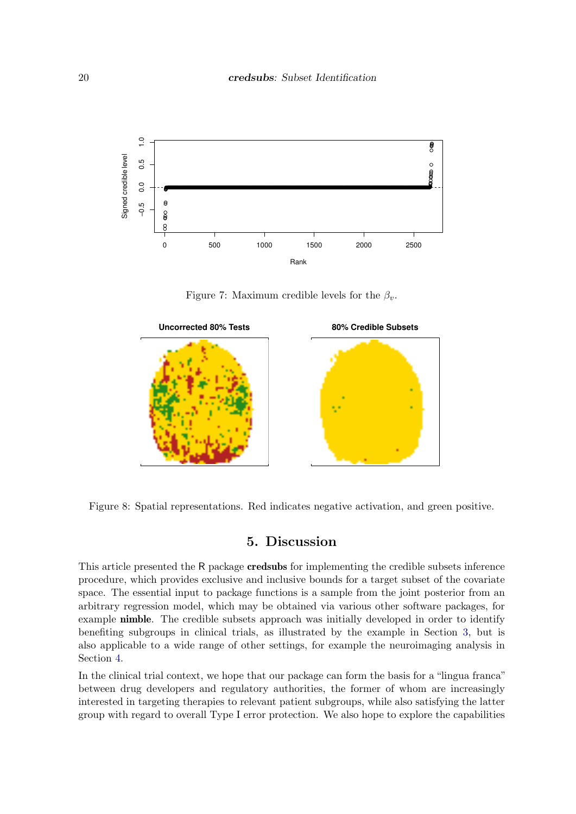

<span id="page-19-1"></span>Figure 7: Maximum credible levels for the  $\beta_v$ .



Figure 8: Spatial representations. Red indicates negative activation, and green positive.

## <span id="page-19-2"></span>5. Discussion

<span id="page-19-0"></span>This article presented the R package credsubs for implementing the credible subsets inference procedure, which provides exclusive and inclusive bounds for a target subset of the covariate space. The essential input to package functions is a sample from the joint posterior from an arbitrary regression model, which may be obtained via various other software packages, for example **nimble**. The credible subsets approach was initially developed in order to identify benefiting subgroups in clinical trials, as illustrated by the example in Section [3,](#page-4-0) but is also applicable to a wide range of other settings, for example the neuroimaging analysis in Section [4.](#page-15-0)

In the clinical trial context, we hope that our package can form the basis for a "lingua franca" between drug developers and regulatory authorities, the former of whom are increasingly interested in targeting therapies to relevant patient subgroups, while also satisfying the latter group with regard to overall Type I error protection. We also hope to explore the capabilities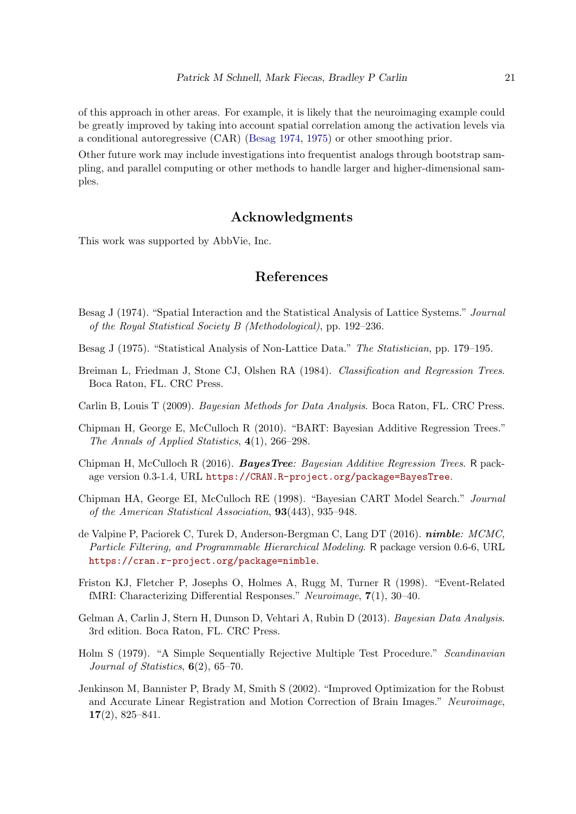of this approach in other areas. For example, it is likely that the neuroimaging example could be greatly improved by taking into account spatial correlation among the activation levels via a conditional autoregressive (CAR) [\(Besag 1974,](#page-20-10) [1975\)](#page-20-11) or other smoothing prior.

Other future work may include investigations into frequentist analogs through bootstrap sampling, and parallel computing or other methods to handle larger and higher-dimensional samples.

## Acknowledgments

This work was supported by AbbVie, Inc.

## References

- <span id="page-20-10"></span>Besag J (1974). "Spatial Interaction and the Statistical Analysis of Lattice Systems." Journal of the Royal Statistical Society B (Methodological), pp. 192–236.
- <span id="page-20-11"></span>Besag J (1975). "Statistical Analysis of Non-Lattice Data." The Statistician, pp. 179–195.
- <span id="page-20-0"></span>Breiman L, Friedman J, Stone CJ, Olshen RA (1984). Classification and Regression Trees. Boca Raton, FL. CRC Press.
- <span id="page-20-6"></span>Carlin B, Louis T (2009). Bayesian Methods for Data Analysis. Boca Raton, FL. CRC Press.
- <span id="page-20-3"></span>Chipman H, George E, McCulloch R (2010). "BART: Bayesian Additive Regression Trees." The Annals of Applied Statistics, 4(1), 266–298.
- <span id="page-20-2"></span>Chipman H, McCulloch R (2016). BayesTree: Bayesian Additive Regression Trees. R package version 0.3-1.4, URL <https://CRAN.R-project.org/package=BayesTree>.
- <span id="page-20-1"></span>Chipman HA, George EI, McCulloch RE (1998). "Bayesian CART Model Search." Journal of the American Statistical Association, 93(443), 935–948.
- <span id="page-20-4"></span>de Valpine P, Paciorek C, Turek D, Anderson-Bergman C, Lang DT (2016). nimble: MCMC, Particle Filtering, and Programmable Hierarchical Modeling. R package version 0.6-6, URL <https://cran.r-project.org/package=nimble>.
- <span id="page-20-9"></span>Friston KJ, Fletcher P, Josephs O, Holmes A, Rugg M, Turner R (1998). "Event-Related fMRI: Characterizing Differential Responses." Neuroimage, 7(1), 30–40.
- <span id="page-20-5"></span>Gelman A, Carlin J, Stern H, Dunson D, Vehtari A, Rubin D (2013). Bayesian Data Analysis. 3rd edition. Boca Raton, FL. CRC Press.
- <span id="page-20-7"></span>Holm S (1979). "A Simple Sequentially Rejective Multiple Test Procedure." Scandinavian Journal of Statistics,  $6(2)$ ,  $65-70$ .
- <span id="page-20-8"></span>Jenkinson M, Bannister P, Brady M, Smith S (2002). "Improved Optimization for the Robust and Accurate Linear Registration and Motion Correction of Brain Images." Neuroimage, 17(2), 825–841.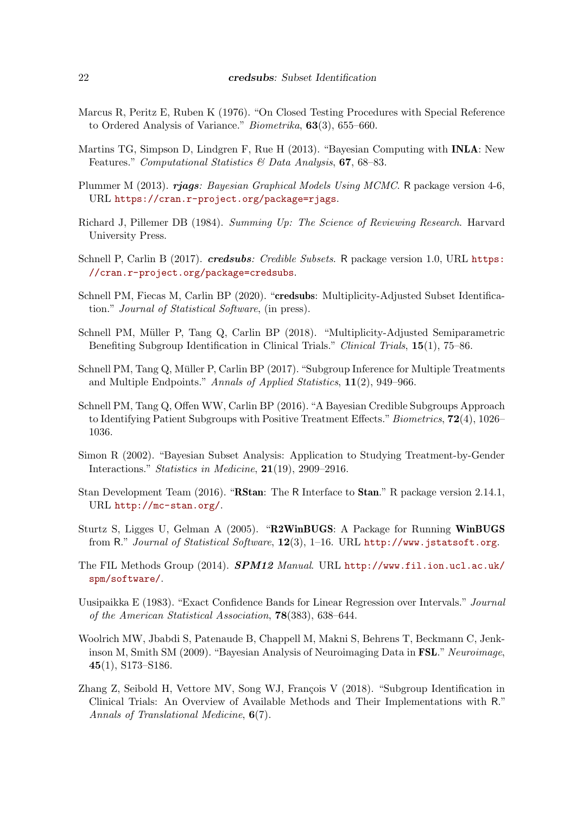- <span id="page-21-12"></span>Marcus R, Peritz E, Ruben K (1976). "On Closed Testing Procedures with Special Reference to Ordered Analysis of Variance." Biometrika, 63(3), 655–660.
- <span id="page-21-9"></span>Martins TG, Simpson D, Lindgren F, Rue H (2013). "Bayesian Computing with INLA: New Features." Computational Statistics & Data Analysis, 67, 68-83.
- <span id="page-21-8"></span>Plummer M (2013). rjags: Bayesian Graphical Models Using MCMC. R package version 4-6, URL <https://cran.r-project.org/package=rjags>.
- <span id="page-21-13"></span>Richard J, Pillemer DB (1984). Summing Up: The Science of Reviewing Research. Harvard University Press.
- <span id="page-21-1"></span>Schnell P, Carlin B (2017). *credsubs: Credible Subsets*. R package version 1.0, URL [https:](https://cran.r-project.org/package=credsubs) [//cran.r-project.org/package=credsubs](https://cran.r-project.org/package=credsubs).
- <span id="page-21-0"></span>Schnell PM, Fiecas M, Carlin BP (2020). "credsubs: Multiplicity-Adjusted Subset Identification." Journal of Statistical Software, (in press).
- <span id="page-21-4"></span>Schnell PM, Müller P, Tang Q, Carlin BP (2018). "Multiplicity-Adjusted Semiparametric Benefiting Subgroup Identification in Clinical Trials." Clinical Trials, 15(1), 75–86.
- <span id="page-21-3"></span>Schnell PM, Tang Q, Müller P, Carlin BP  $(2017)$ . "Subgroup Inference for Multiple Treatments and Multiple Endpoints." Annals of Applied Statistics, 11(2), 949–966.
- <span id="page-21-2"></span>Schnell PM, Tang Q, Offen WW, Carlin BP (2016). "A Bayesian Credible Subgroups Approach to Identifying Patient Subgroups with Positive Treatment Effects." Biometrics, 72(4), 1026– 1036.
- <span id="page-21-5"></span>Simon R (2002). "Bayesian Subset Analysis: Application to Studying Treatment-by-Gender Interactions." Statistics in Medicine, 21(19), 2909–2916.
- <span id="page-21-10"></span>Stan Development Team (2016). "**RStan**: The R Interface to **Stan**." R package version 2.14.1, URL <http://mc-stan.org/>.
- <span id="page-21-7"></span>Sturtz S, Ligges U, Gelman A (2005). "R2WinBUGS: A Package for Running WinBUGS from R." Journal of Statistical Software, 12(3), 1–16. URL <http://www.jstatsoft.org>.
- <span id="page-21-14"></span>The FIL Methods Group (2014). SPM12 Manual. URL [http://www.fil.ion.ucl.ac.uk/](http://www.fil.ion.ucl.ac.uk/spm/software/) [spm/software/](http://www.fil.ion.ucl.ac.uk/spm/software/).
- <span id="page-21-11"></span>Uusipaikka E (1983). "Exact Confidence Bands for Linear Regression over Intervals." Journal of the American Statistical Association, 78(383), 638–644.
- <span id="page-21-15"></span>Woolrich MW, Jbabdi S, Patenaude B, Chappell M, Makni S, Behrens T, Beckmann C, Jenkinson M, Smith SM (2009). "Bayesian Analysis of Neuroimaging Data in FSL." Neuroimage, 45(1), S173–S186.
- <span id="page-21-6"></span>Zhang Z, Seibold H, Vettore MV, Song WJ, François V (2018). "Subgroup Identification in Clinical Trials: An Overview of Available Methods and Their Implementations with R." Annals of Translational Medicine, 6(7).